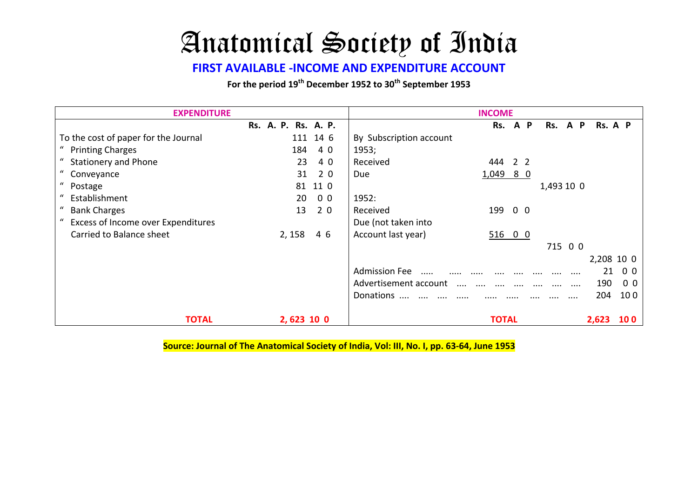## Anatomical Society of India

## **FIRST AVAILABLE -INCOME AND EXPENDITURE ACCOUNT**

For the period 19<sup>th</sup> December 1952 to 30<sup>th</sup> September 1953

| <b>EXPENDITURE</b>                   |                     |                |                                   | <b>INCOME</b> |              |                |                      |          |         |                |  |
|--------------------------------------|---------------------|----------------|-----------------------------------|---------------|--------------|----------------|----------------------|----------|---------|----------------|--|
|                                      | Rs. A. P. Rs. A. P. |                |                                   | Rs.           | $\mathbf{A}$ | P              | Rs. A P              |          | Rs. A P |                |  |
| To the cost of paper for the Journal |                     | 111 14 6       | By Subscription account           |               |              |                |                      |          |         |                |  |
| " Printing Charges                   | 184                 | 40             | 1953;                             |               |              |                |                      |          |         |                |  |
| <b>Stationery and Phone</b>          | 23                  | 4 0            | Received                          | 444           |              | 2 <sub>2</sub> |                      |          |         |                |  |
| " Conveyance                         | 31                  | 20             | Due                               | $1,049$ 8 0   |              |                |                      |          |         |                |  |
| " Postage                            |                     | 81 11 0        |                                   |               |              |                | 1,493 10 0           |          |         |                |  |
| " Establishment                      | 20                  | 0 <sub>0</sub> | 1952:                             |               |              |                |                      |          |         |                |  |
| <b>Bank Charges</b>                  | 13                  | 2 0            | Received                          | 199 0 0       |              |                |                      |          |         |                |  |
| Excess of Income over Expenditures   |                     |                | Due (not taken into               |               |              |                |                      |          |         |                |  |
| Carried to Balance sheet             | 2, 158              | 46             | Account last year)                | 51600         |              |                |                      |          |         |                |  |
|                                      |                     |                |                                   |               |              |                | 715 0 0              |          |         |                |  |
|                                      |                     |                |                                   |               |              |                |                      |          |         | 2,208 10 0     |  |
|                                      |                     |                | <b>Admission Fee</b><br>$\cdots$  |               |              |                |                      | $\cdots$ | 21      | 0 <sub>0</sub> |  |
|                                      |                     |                | Advertisement account<br>$\cdots$ | $\cdots$      | $\cdots$     |                | $\cdots$<br>$\cdots$ | .        | 190     | 0 <sub>0</sub> |  |
|                                      |                     |                | Donations                         | .             |              |                |                      | $\cdots$ | 204     | 100            |  |
| <b>TOTAL</b>                         | 2,623 10 0          |                |                                   | <b>TOTAL</b>  |              |                |                      |          | 2,623   | <b>100</b>     |  |

**Source: Journal of The Anatomical Society of India, Vol: III, No. I, pp. 63-64, June 1953**